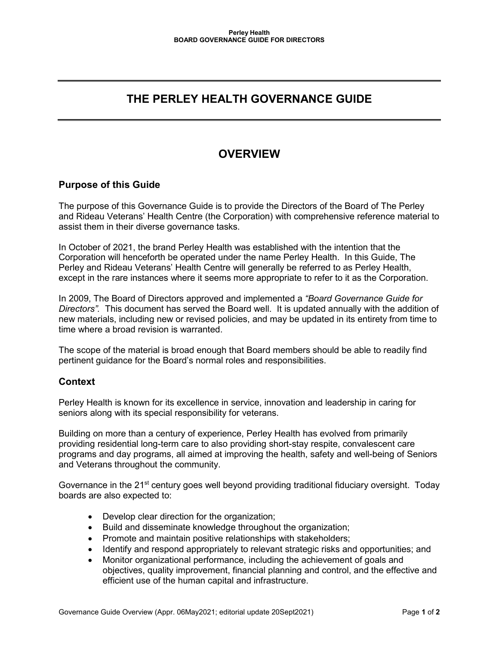## **THE PERLEY HEALTH GOVERNANCE GUIDE**

# **OVERVIEW**

## **Purpose of this Guide**

The purpose of this Governance Guide is to provide the Directors of the Board of The Perley and Rideau Veterans' Health Centre (the Corporation) with comprehensive reference material to assist them in their diverse governance tasks.

In October of 2021, the brand Perley Health was established with the intention that the Corporation will henceforth be operated under the name Perley Health. In this Guide, The Perley and Rideau Veterans' Health Centre will generally be referred to as Perley Health, except in the rare instances where it seems more appropriate to refer to it as the Corporation.

In 2009, The Board of Directors approved and implemented a *"Board Governance Guide for Directors".* This document has served the Board well. It is updated annually with the addition of new materials, including new or revised policies, and may be updated in its entirety from time to time where a broad revision is warranted.

The scope of the material is broad enough that Board members should be able to readily find pertinent guidance for the Board's normal roles and responsibilities.

#### **Context**

Perley Health is known for its excellence in service, innovation and leadership in caring for seniors along with its special responsibility for veterans.

Building on more than a century of experience, Perley Health has evolved from primarily providing residential long-term care to also providing short-stay respite, convalescent care programs and day programs, all aimed at improving the health, safety and well-being of Seniors and Veterans throughout the community.

Governance in the 21<sup>st</sup> century goes well beyond providing traditional fiduciary oversight. Today boards are also expected to:

- Develop clear direction for the organization;
- Build and disseminate knowledge throughout the organization;
- Promote and maintain positive relationships with stakeholders;
- Identify and respond appropriately to relevant strategic risks and opportunities; and
- Monitor organizational performance, including the achievement of goals and objectives, quality improvement, financial planning and control, and the effective and efficient use of the human capital and infrastructure.